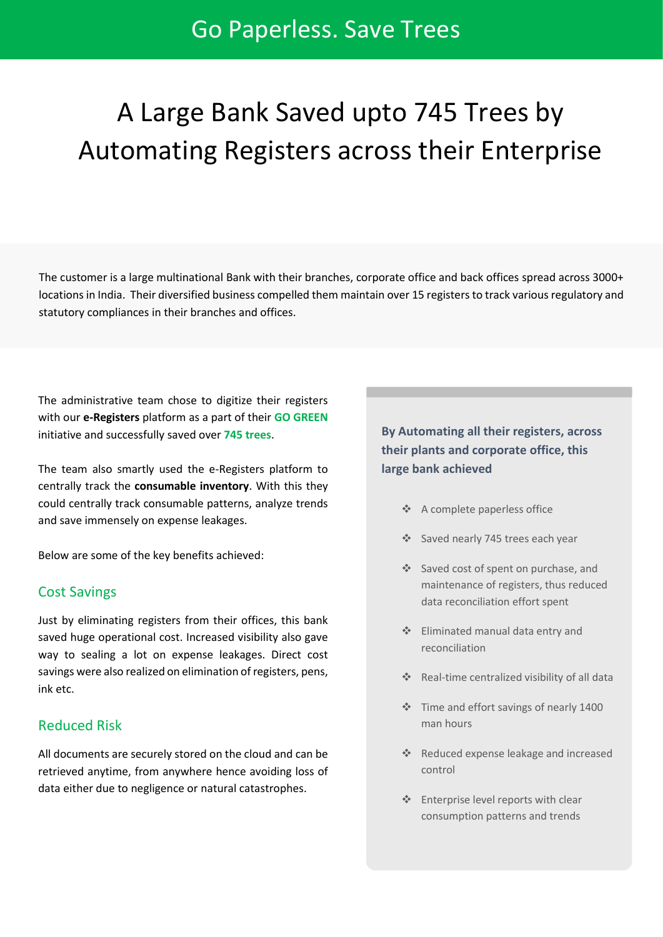# Go Paperless. Save Trees

# A Large Bank Saved upto 745 Trees by Automating Registers across their Enterprise

The customer is a large multinational Bank with their branches, corporate office and back offices spread across 3000+ locations in India. Their diversified business compelled them maintain over 15 registers to track various regulatory and statutory compliances in their branches and offices.

The administrative team chose to digitize their registers with our **e-Registers** platform as a part of their **GO GREEN** initiative and successfully saved over **745 trees**.

The team also smartly used the e-Registers platform to centrally track the **consumable inventory**. With this they could centrally track consumable patterns, analyze trends and save immensely on expense leakages.

Below are some of the key benefits achieved:

#### Cost Savings

Just by eliminating registers from their offices, this bank saved huge operational cost. Increased visibility also gave way to sealing a lot on expense leakages. Direct cost savings were also realized on elimination of registers, pens, ink etc.

#### Reduced Risk

All documents are securely stored on the cloud and can be retrieved anytime, from anywhere hence avoiding loss of data either due to negligence or natural catastrophes.

# **By Automating all their registers, across their plants and corporate office, this large bank achieved**

- ❖ A complete paperless office
- ❖ Saved nearly 745 trees each year
- ❖ Saved cost of spent on purchase, and maintenance of registers, thus reduced data reconciliation effort spent
- ❖ Eliminated manual data entry and reconciliation
- ❖ Real-time centralized visibility of all data
- ❖ Time and effort savings of nearly 1400 man hours
- ❖ Reduced expense leakage and increased control
- ❖ Enterprise level reports with clear consumption patterns and trends